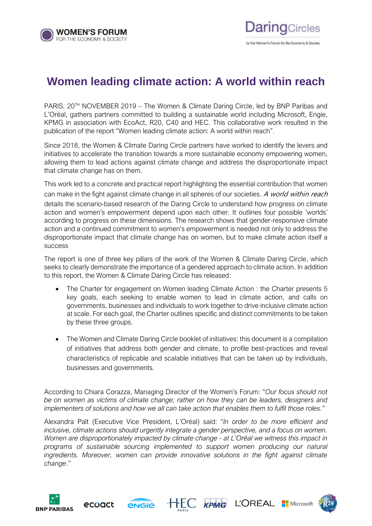

## **Women leading climate action: A world within reach**

PARIS, 20<sup>TH</sup> NOVEMBER 2019 – The Women & Climate Daring Circle, led by BNP Paribas and L'Oréal, gathers partners committed to building a sustainable world including Microsoft, Engie, KPMG in association with EcoAct, R20, C40 and HEC. This collaborative work resulted in the publication of the report "Women leading climate action: A world within reach".

Since 2018, the Women & Climate Daring Circle partners have worked to identify the levers and initiatives to accelerate the transition towards a more sustainable economy empowering women, allowing them to lead actions against climate change and address the disproportionate impact that climate change has on them.

This work led to a concrete and practical report highlighting the essential contribution that women can make in the fight against climate change in all spheres of our societies. A world within reach details the scenario-based research of the Daring Circle to understand how progress on climate action and women's empowerment depend upon each other. It outlines four possible 'worlds' according to progress on these dimensions. The research shows that gender-responsive climate action and a continued commitment to women's empowerment is needed not only to address the disproportionate impact that climate change has on women, but to make climate action itself a success

The report is one of three key pillars of the work of the Women & Climate Daring Circle, which seeks to clearly demonstrate the importance of a gendered approach to climate action. In addition to this report, the Women & Climate Daring Circle has released:

- The Charter for engagement on Women leading Climate Action : the Charter presents 5 key goals, each seeking to enable women to lead in climate action, and calls on governments, businesses and individuals to work together to drive inclusive climate action at scale. For each goal, the Charter outlines specific and distinct commitments to be taken by these three groups.
- The Women and Climate Daring Circle booklet of initiatives: this document is a compilation of initiatives that address both gender and climate, to profile best-practices and reveal characteristics of replicable and scalable initiatives that can be taken up by individuals, businesses and governments.

According to Chiara Corazza, Managing Director of the Women's Forum: "*Our focus should not be on women as victims of climate change; rather on how they can be leaders, designers and implementers of solutions and how we all can take action that enables them to fulfil those roles.*"

Alexandra Palt (Executive Vice President, L'Oréal) said: "*In order to be more efficient and inclusive, climate actions should urgently integrate a gender perspective, and a focus on women. Women are disproportionately impacted by climate change - at L'Oréal we witness this impact in programs of sustainable sourcing implemented to support women producing our natural ingredients. Moreover, women can provide innovative solutions in the fight against climate change*."